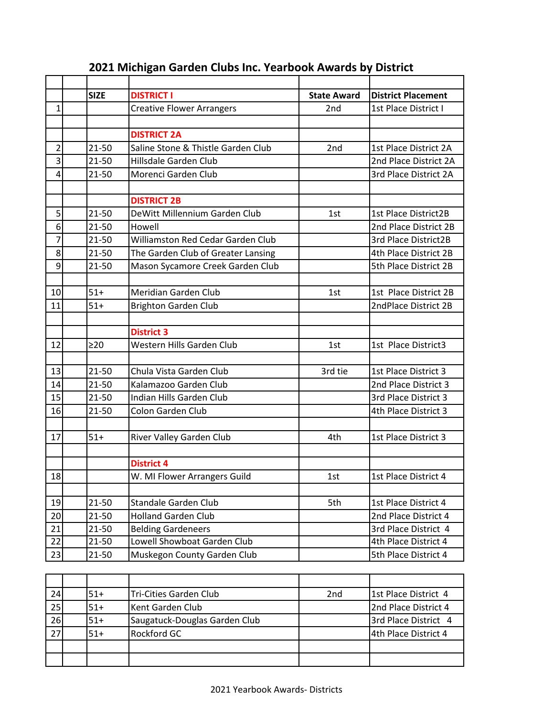|                | <b>SIZE</b> | <b>DISTRICT I</b>                  | <b>State Award</b> | <b>District Placement</b> |
|----------------|-------------|------------------------------------|--------------------|---------------------------|
| $\mathbf{1}$   |             | <b>Creative Flower Arrangers</b>   | 2nd                | 1st Place District I      |
|                |             |                                    |                    |                           |
|                |             | <b>DISTRICT 2A</b>                 |                    |                           |
| $\overline{2}$ | 21-50       | Saline Stone & Thistle Garden Club | 2 <sub>nd</sub>    | 1st Place District 2A     |
| 3              | 21-50       | Hillsdale Garden Club              |                    | 2nd Place District 2A     |
| 4              | 21-50       | Morenci Garden Club                |                    | 3rd Place District 2A     |
|                |             |                                    |                    |                           |
|                |             | <b>DISTRICT 2B</b>                 |                    |                           |
| 5              | $21 - 50$   | DeWitt Millennium Garden Club      | 1st                | 1st Place District2B      |
| 6              | $21 - 50$   | Howell                             |                    | 2nd Place District 2B     |
| 7              | 21-50       | Williamston Red Cedar Garden Club  |                    | 3rd Place District2B      |
| 8              | 21-50       | The Garden Club of Greater Lansing |                    | 4th Place District 2B     |
| 9              | 21-50       | Mason Sycamore Creek Garden Club   |                    | 5th Place District 2B     |
|                |             |                                    |                    |                           |
| 10             | $51+$       | Meridian Garden Club               | 1st                | 1st Place District 2B     |
| 11             | $51+$       | <b>Brighton Garden Club</b>        |                    | 2ndPlace District 2B      |
|                |             |                                    |                    |                           |
|                |             | <b>District 3</b>                  |                    |                           |
| 12             | $\geq$ 20   | Western Hills Garden Club          | 1st                | 1st Place District3       |
|                |             |                                    |                    |                           |
| 13             | 21-50       | Chula Vista Garden Club            | 3rd tie            | 1st Place District 3      |
| 14             | $21 - 50$   | Kalamazoo Garden Club              |                    | 2nd Place District 3      |
| 15             | 21-50       | Indian Hills Garden Club           |                    | 3rd Place District 3      |
| 16             | 21-50       | Colon Garden Club                  |                    | 4th Place District 3      |
|                |             |                                    |                    |                           |
| 17             | $51+$       | River Valley Garden Club           | 4th                | 1st Place District 3      |
|                |             |                                    |                    |                           |
|                |             | <b>District 4</b>                  |                    |                           |
| 18             |             | W. MI Flower Arrangers Guild       | 1st                | 1st Place District 4      |
|                |             |                                    |                    |                           |
| 19             | 21-50       | <b>Standale Garden Club</b>        | 5th                | 1st Place District 4      |
| 20             | 21-50       | <b>Holland Garden Club</b>         |                    | 2nd Place District 4      |
| 21             | 21-50       | <b>Belding Gardeneers</b>          |                    | 3rd Place District 4      |
| 22             | 21-50       | Lowell Showboat Garden Club        |                    | 4th Place District 4      |
| 23             | $21 - 50$   | Muskegon County Garden Club        |                    | 5th Place District 4      |

## **2021 Michigan Garden Clubs Inc. Yearbook Awards by District**

| 24 | 51+   | Tri-Cities Garden Club        | 2 <sub>nd</sub> | 1st Place District 4 |
|----|-------|-------------------------------|-----------------|----------------------|
| 25 | $51+$ | Kent Garden Club              |                 | 2nd Place District 4 |
| 26 | $51+$ | Saugatuck-Douglas Garden Club |                 | 3rd Place District 4 |
| 27 | $51+$ | <b>Rockford GC</b>            |                 | 4th Place District 4 |
|    |       |                               |                 |                      |
|    |       |                               |                 |                      |